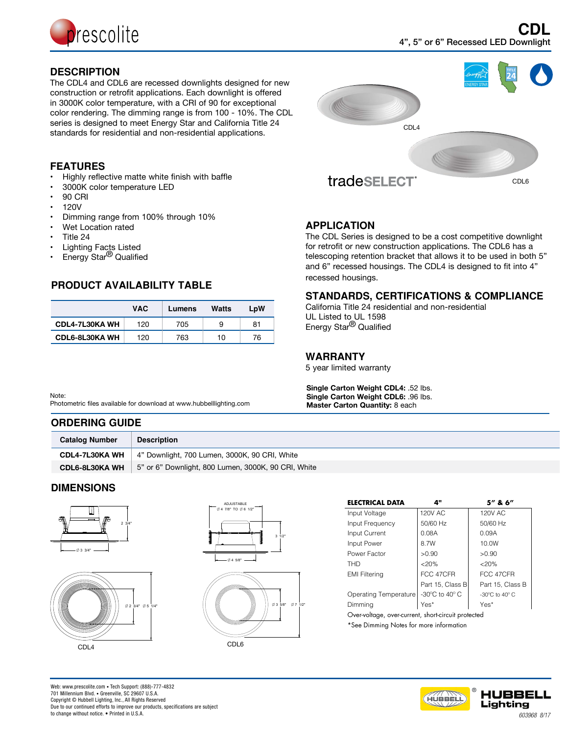

# **DESCRIPTION**

The CDL4 and CDL6 are recessed downlights designed for new construction or retrofit applications. Each downlight is offered in 3000K color temperature, with a CRI of 90 for exceptional color rendering. The dimming range is from 100 - 10%. The CDL series is designed to meet Energy Star and California Title 24 standards for residential and non-residential applications.



# **FEATURES**

- Highly reflective matte white finish with baffle
- 3000K color temperature LED
- **90 CRI**
- • 120V
- Dimming range from 100% through 10%
- Wet Location rated
- Title 24
- **Lighting Facts Listed**
- Energy Star<sup>®</sup> Qualified

# **PRODUCT AVAILABILITY TABLE**

|                       | <b>VAC</b> | Lumens | Watts | LpW |
|-----------------------|------------|--------|-------|-----|
| <b>CDL4-7L30KA WH</b> | 120        | 705    | 9     | 81  |
| <b>CDL6-8L30KA WH</b> | 120        | 763    | 10    | 76  |

### Note:

Photometric files available for download at www.hubbelllighting.com

### **ORDERING GUIDE**

| <b>Catalog Number</b> | <b>Description</b>                                  |
|-----------------------|-----------------------------------------------------|
| <b>CDL4-7L30KA WH</b> | 4" Downlight, 700 Lumen, 3000K, 90 CRI, White       |
| <b>CDL6-8L30KA WH</b> | 5" or 6" Downlight, 800 Lumen, 3000K, 90 CRI, White |
|                       |                                                     |

# **DIMENSIONS**









| ELECTRICAL DATA                                     | Д"                                          | 5" & 6"                                             |  |  |  |  |  |  |
|-----------------------------------------------------|---------------------------------------------|-----------------------------------------------------|--|--|--|--|--|--|
| Input Voltage                                       | <b>120V AC</b>                              | 120V AC                                             |  |  |  |  |  |  |
| Input Frequency                                     | 50/60 Hz                                    | 50/60 Hz                                            |  |  |  |  |  |  |
| Input Current                                       | 0.08A                                       | 0.09A                                               |  |  |  |  |  |  |
| Input Power                                         | 8.7W                                        | 10.0W                                               |  |  |  |  |  |  |
| Power Factor                                        | >0.90                                       | >0.90                                               |  |  |  |  |  |  |
| THD                                                 | < 20%                                       | < 20%                                               |  |  |  |  |  |  |
| <b>EMI Filtering</b>                                | FCC 47CFR                                   | FCC 47CFR                                           |  |  |  |  |  |  |
|                                                     | Part 15, Class B                            | Part 15, Class B                                    |  |  |  |  |  |  |
| <b>Operating Temperature</b>                        | -30 $\rm{^{\circ}C}$ to 40 $\rm{^{\circ}C}$ | -30 $\mathrm{^{\circ}C}$ to 40 $\mathrm{^{\circ}C}$ |  |  |  |  |  |  |
| Dimming                                             | Yes*                                        | Yes*                                                |  |  |  |  |  |  |
| Over-voltage, over-current, short-circuit protected |                                             |                                                     |  |  |  |  |  |  |
| *See Dimming Notes for more information             |                                             |                                                     |  |  |  |  |  |  |
|                                                     |                                             |                                                     |  |  |  |  |  |  |





Web: www.prescolite.com • Tech Support: (888)-777-4832 701 Millennium Blvd. • Greenville, SC 29607 U.S.A. Copyright © Hubbell Lighting, Inc., All Rights Reserved Due to our continued efforts to improve our products, specifications are subject to change without notice. • Printed in U.S.A.

# **APPLICATION**

The CDL Series is designed to be a cost competitive downlight for retrofit or new construction applications. The CDL6 has a telescoping retention bracket that allows it to be used in both 5" and 6" recessed housings. The CDL4 is designed to fit into 4" recessed housings.

# **STANDARDS, CERTIFICATIONS & COMPLIANCE**

California Title 24 residential and non-residential UL Listed to UL 1598 Energy Star<sup>®</sup> Qualified

### **WARRANTY**

5 year limited warranty

**Single Carton Weight CDL4:** .52 lbs. **Single Carton Weight CDL6:** .96 lbs. **Master Carton Quantity:** 8 each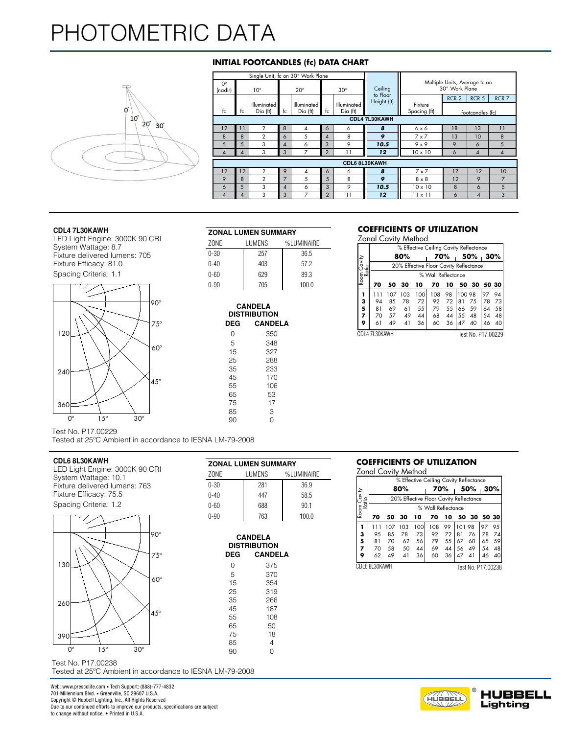# [PHOTOMETRIC DATA](http:/)



# **INITIAL FOOTCANDLES (fc) DATA CHART**

|                        |    |                                |                | Single Unit, fc on 30" Work Plane |                |                         |                         |                                                 |                  |                  |                  |  |  |  |  |  |
|------------------------|----|--------------------------------|----------------|-----------------------------------|----------------|-------------------------|-------------------------|-------------------------------------------------|------------------|------------------|------------------|--|--|--|--|--|
| $O^{\circ}$<br>(nadir) |    | $10^{\circ}$                   |                | $20^\circ$                        |                | $30^\circ$              | Ceiling                 | Multiple Units, Average fc on<br>30" Work Plane |                  |                  |                  |  |  |  |  |  |
|                        |    |                                |                |                                   |                |                         | to Floor<br>Height (ft) |                                                 | RCR <sub>2</sub> | RCR <sub>5</sub> | RCR <sub>7</sub> |  |  |  |  |  |
| fc                     | tc | Illuminated<br>$Di\alpha$ (ft) | fc             | <b>Illuminated</b><br>Dia (ft)    | fc             | Illuminated<br>Dia (ft) |                         | Fixture<br>Spacing (ft)                         |                  | footcandles (fc) |                  |  |  |  |  |  |
| CDL4 7L30KAWH          |    |                                |                |                                   |                |                         |                         |                                                 |                  |                  |                  |  |  |  |  |  |
| 12                     | 11 | $\overline{2}$                 | 8              | 4                                 | 6              | 6                       | 8                       | 6x6                                             | 18               | 13               | 11               |  |  |  |  |  |
| 8                      | 8  | $\overline{2}$                 | 6              | 5                                 | 4              | 8                       | 9                       | $7 \times 7$                                    | 13               | 10               | 8                |  |  |  |  |  |
| 5                      | 5  | 3                              | 4              | 6                                 | 3              | 9                       | 10.5                    | $9 \times 9$                                    | 9                | 6                | 5                |  |  |  |  |  |
| 4                      | 4  | 3                              | 3              | 7                                 | $\overline{2}$ | 11                      | 12                      | $10 \times 10$                                  | 6                | 4                | 4                |  |  |  |  |  |
| CDL6 8L30KAWH          |    |                                |                |                                   |                |                         |                         |                                                 |                  |                  |                  |  |  |  |  |  |
| 12                     | 12 | $\mathbf{2}$                   | 9              | 4                                 | 6              | 6                       | 8                       | $7 \times 7$                                    | 17               | 12               | 10               |  |  |  |  |  |
| 9                      | 8  | $\overline{2}$                 | 7              | 5                                 | 5              | 8                       | 9                       | $8 \times 8$                                    | 12               | 9                |                  |  |  |  |  |  |
| 6                      | 5  | 3                              | $\overline{4}$ | 6                                 | 3              | 9                       | 10.5                    | $10 \times 10$                                  | 8                | 6                | 5                |  |  |  |  |  |
| 4                      | 4  | 3                              | 3              | $\overline{ }$                    | $\overline{2}$ | 11                      | 12                      | $11 \times 11$                                  | 6                | 4                | 3                |  |  |  |  |  |

#### **CDL4 7L30KAWH**

LED Light Engine: 3000K 90 CRI System Wattage: 8.7 Fixture delivered lumens: 705 Fixture Efficacy: 81.0 Spacing Criteria: 1.1



| <b>ZONAL LUMEN SUMMARY</b> |  |
|----------------------------|--|
|----------------------------|--|

| ZONE     | LUMENS | %LUMINAIRE |
|----------|--------|------------|
| $0 - 30$ | 257    | 36.5       |
| $0 - 40$ | 403    | 57.2       |
| $0 - 60$ | 629    | 89.3       |
| $0 - 90$ | 705    | 100.0      |

| DEG | CANDELA<br><b>DISTRIBUTION</b><br><b>CANDELA</b> |
|-----|--------------------------------------------------|
| N   | 350                                              |
| 5   | 348                                              |
| 15  | 327                                              |
| 25  | 288                                              |
| 35  | 233                                              |
| 45  | 170                                              |
| 55  | 106                                              |
| 65  | 53                                               |
| 75  | 17                                               |
| 85  | З                                                |
| 90  | N                                                |

### **COEFFICIENTS OF UTILIZATION**

Zonal Cavity Method

|                              | ZONE     |            | LUMENS              | %LUMINAIRE |    |               |     |     |      |                    |    |                                        |          |
|------------------------------|----------|------------|---------------------|------------|----|---------------|-----|-----|------|--------------------|----|----------------------------------------|----------|
| ystem Wattage: 8.7           |          |            |                     |            |    |               |     |     |      |                    |    | % Effective Ceiling Cavity Reflectance |          |
| ixture delivered lumens: 705 | $0 - 30$ |            | 257                 | 36.5       |    |               | 80% |     |      | 70%                |    | 50%                                    | 30%      |
| ixture Efficacy: 81.0        | $0 - 40$ |            | 403                 | 57.2       | ర≚ |               |     |     |      |                    |    | 20% Effective Floor Cavity Reflectance |          |
| pacing Criteria: 1.1         | $0 - 60$ |            | 629                 | 89.3       | ξ∝ |               |     |     |      | % Wall Reflectance |    |                                        |          |
|                              | $0 - 90$ |            | 705                 | 100.0      |    | 70            | 50  | 30  | 10   | 70                 | 10 | 50                                     | 30 50 30 |
|                              |          |            |                     |            |    |               | 107 | 103 | 1001 | 108                | 98 | 100 98                                 | 9794     |
| $190^\circ$                  |          |            | <b>CANDELA</b>      |            | з  | 94            | 85  | 78  | 72   | 92                 | 72 | <b>B</b> 1<br>-75                      | 78 73    |
|                              |          |            |                     |            |    | 81            | 69  | 61  | 55   | 79                 | 55 | -59<br>-66                             | 64 58    |
|                              |          |            | <b>DISTRIBUTION</b> |            |    |               | 57  | 49  | 44   | 68                 | 44 | 55<br>48                               | 54 48    |
| $75^\circ$                   |          | <b>DEG</b> | <b>CANDELA</b>      |            |    | 61            | 49  | 41  | 36   | 60                 | 36 | 40<br>47                               | 46 40    |
| <b>120L</b>                  |          |            | 350                 |            |    | CDL4 7L30KAWH |     |     |      |                    |    | Test No. P17.00229                     |          |

Test No. P17.00229

Tested at 25ºC Ambient in accordance to IESNA LM-79-2008

### **CDL6 8L30KAWH**

THIS REPORT IS BASED ON PUBLISHED INDUSTRY PROCEDURES. FIELD PERFORMANCE MAY DIFFER FROM LABORATORY PERFORMANCE. System Wattage: 10.1 LED Light Engine: 3000K 90 CRI Fixture delivered lumens: 763 Fixture Efficacy: 75.5 Spacing Criteria: 1.2



Test No. P17.00238 Tested at 25ºC Ambient in accordance to IESNA LM-79-2008

| <b>ZONAL LUMEN SUMMARY</b> |        |            |  |  |  |  |  |  |
|----------------------------|--------|------------|--|--|--|--|--|--|
| ZONE                       | LUMENS | %LUMINAIRE |  |  |  |  |  |  |
| $0 - 30$                   | 281    | 36.9       |  |  |  |  |  |  |
| $0 - 40$                   | 447    | 58.5       |  |  |  |  |  |  |
| $0 - 60$                   | 688    | 90.1       |  |  |  |  |  |  |
| $0 - 90$                   | 763    | 100.0      |  |  |  |  |  |  |

| <b>CANDELA</b><br><b>DISTRIBUTION</b> |                |  |  |  |  |  |  |
|---------------------------------------|----------------|--|--|--|--|--|--|
| DEG                                   | <b>CANDELA</b> |  |  |  |  |  |  |
| N                                     | 375            |  |  |  |  |  |  |
| 5                                     | 370            |  |  |  |  |  |  |
| 15                                    | 354            |  |  |  |  |  |  |
| 25                                    | 319            |  |  |  |  |  |  |
| 35                                    | 266            |  |  |  |  |  |  |
| 45                                    | 187            |  |  |  |  |  |  |
| 55                                    | 108            |  |  |  |  |  |  |
| 65                                    | 50             |  |  |  |  |  |  |
| 75                                    | 18             |  |  |  |  |  |  |
| 85                                    | 4              |  |  |  |  |  |  |
| 90                                    | 0              |  |  |  |  |  |  |

### **COEFFICIENTS OF UTILIZATION**

Zonal Cavity Method

|                              | ZUNE       | LUMENS              | %LUMINAIRE |    |               | LUINI CUVIIV IVICIIIUU |                                        |                    |       |         |                    |             |  |
|------------------------------|------------|---------------------|------------|----|---------------|------------------------|----------------------------------------|--------------------|-------|---------|--------------------|-------------|--|
| ystem Wattage: 10.1          |            |                     |            |    |               |                        | % Effective Ceiling Cavity Reflectance |                    |       |         |                    |             |  |
| ixture delivered lumens: 763 | $0 - 30$   | 281                 | 36.9       |    |               | 80%                    |                                        |                    | 70%   |         | 50%                | 30%         |  |
| ixture Efficacy: 75.5        | $0 - 40$   | 447                 | 58.5       |    |               |                        | 20% Effective Floor Cavity Reflectance |                    |       |         |                    |             |  |
| pacing Criteria: 1.2         | $0 - 60$   | 688                 | 90.1       | ≊ء |               |                        |                                        | % Wall Reflectance |       |         |                    |             |  |
|                              | $0 - 90$   | 763                 | 100.0      |    | 70            | 50<br>30               | 10                                     | 70                 | 10    | 50      | 30 50 30           |             |  |
|                              |            |                     |            |    |               | 103<br>107             | 100                                    | 108.               | 99    | 1101.98 |                    | $ 97 \t95 $ |  |
| $190^\circ$                  |            | <b>CANDELA</b>      |            |    | 95            | 78<br>85               | 73                                     | 92                 | 72    | 181     | 76                 | 78 74       |  |
|                              |            | <b>DISTRIBUTION</b> |            |    | 81            | 70                     | 62<br>56                               | 79                 | 55 67 |         | -60                | 65 59       |  |
|                              |            |                     |            |    | 70            | 58                     | 50<br>44                               | 69                 | 44    | l 56    | 49                 | 54 48       |  |
| $75^{\circ}$                 | <b>DEG</b> | <b>CANDELA</b>      |            |    | 62            | 49                     | 41<br>36                               | 60                 |       | 36   47 | -41                | 46 40       |  |
| 130                          |            | 375                 |            |    | CDL6 8L30KAWH |                        |                                        |                    |       |         | Test No. P17.00238 |             |  |
|                              |            |                     |            |    |               |                        |                                        |                    |       |         |                    |             |  |